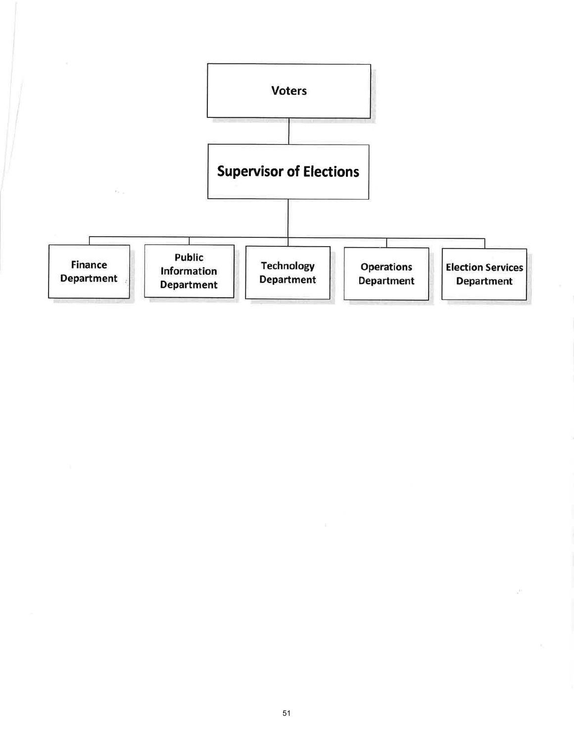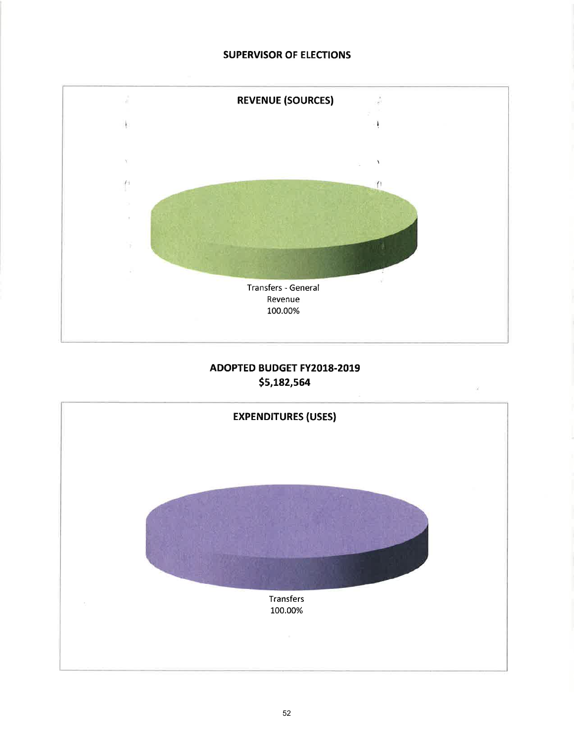## **SUPERVISOR OF ELECTIONS**



# ADOPTED BUDGET FY2018-2019 \$5,182,564

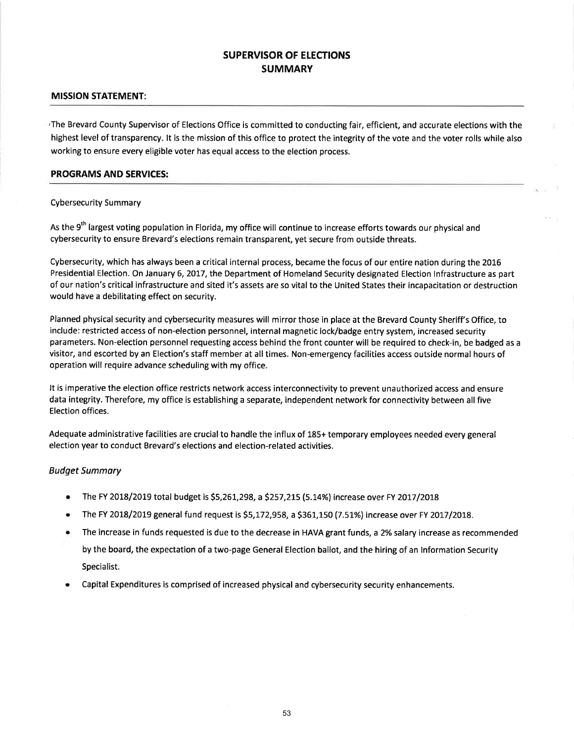## SUPERVISOR OF ELECTIONS **SUMMARY**

#### MISSION STATEMENT:

The Brevard County Supervisor of Elections Office is committed to conducting fair, efficient, and accurate elections with the highest level of transparency. lt is the mission of this office to protect the integrity of the vote and the voter rolls while also working to ensure every eligible voter has equal access to the election process.

#### PROGRAMS AND SERVICES:

#### Cybersecurity Summary

As the 9<sup>th</sup> largest voting population in Florida, my office will continue to increase efforts towards our physical and cybersecurity to ensure Brevard's elections remain transparent, yet secure from outside threats.

Cybersecurity, which has always been a critical internal process, became the focus of our entire nation during the 2016 Presidential Election. On January 6, 2017, the Department of Homeland Security designated Election Infrastructure as part of our nation's critical infrastructure and sited it's assets are so vital to the United States their incapacitation or destruction would have a debilitating effect on security.

Planned physical security and cybersecurity measures will mirror those in place at the Brevard County Sheriff's Office, to include: restricted access of non-election personnel, internal magnetic lock/badge entry system, increased security parameters. Non-election personnel requesting access behind the front counter will be required to check-in, be badged as <sup>a</sup> visitor, and escorted by an Election's staff member at all times. Non-emergency facilities access outside normal hours of operation will require advance scheduling with my office.

It is imperative the election office restricts network access interconnectivity to prevent unauthorized access and ensure data integrity. Therefore, my office is establishing a separate, independent network for connectivity between all five Election offices.

Adequate administrative facilities are crucial to handle the influx of 185+ temporary employees needed every general election year to conduct Brevard's elections and election-related activities.

#### Budget Summory

- The FY 2018/2019 total budget is \$5,261,298, a \$257,215 (5.14%) increase over FY 2017/2018
- The FY 2018/2019 general fund request is \$5,172,958, a \$361,150 (7.51%) increase over FY 2017/2018.
- o The increase in funds requested is due to the decrease in HAVA grant funds, a 2% salary increase as recommended by the board, the expectation of a two-page General Election ballot, and the hiring of an lnformation Security Specialist.
- r Capital Expenditures is comprised of increased physical and cybersecurity security enhancements.